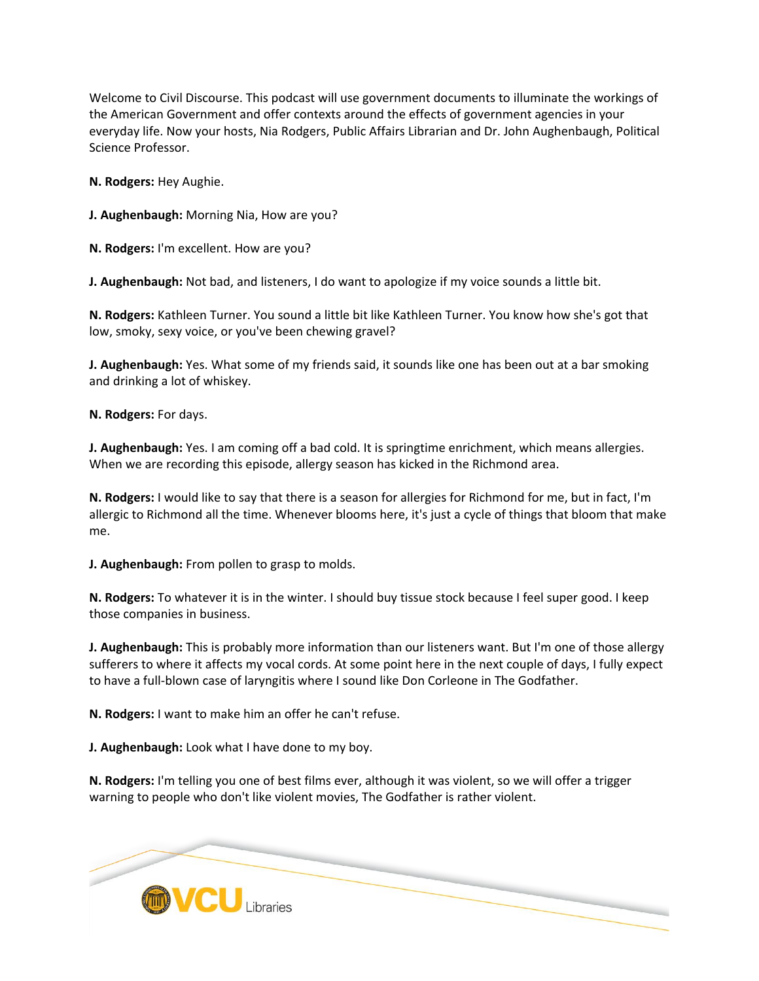Welcome to Civil Discourse. This podcast will use government documents to illuminate the workings of the American Government and offer contexts around the effects of government agencies in your everyday life. Now your hosts, Nia Rodgers, Public Affairs Librarian and Dr. John Aughenbaugh, Political Science Professor.

**N. Rodgers:** Hey Aughie.

**J. Aughenbaugh:** Morning Nia, How are you?

**N. Rodgers:** I'm excellent. How are you?

**J. Aughenbaugh:** Not bad, and listeners, I do want to apologize if my voice sounds a little bit.

**N. Rodgers:** Kathleen Turner. You sound a little bit like Kathleen Turner. You know how she's got that low, smoky, sexy voice, or you've been chewing gravel?

**J. Aughenbaugh:** Yes. What some of my friends said, it sounds like one has been out at a bar smoking and drinking a lot of whiskey.

**N. Rodgers:** For days.

**J. Aughenbaugh:** Yes. I am coming off a bad cold. It is springtime enrichment, which means allergies. When we are recording this episode, allergy season has kicked in the Richmond area.

**N. Rodgers:** I would like to say that there is a season for allergies for Richmond for me, but in fact, I'm allergic to Richmond all the time. Whenever blooms here, it's just a cycle of things that bloom that make me.

**J. Aughenbaugh:** From pollen to grasp to molds.

**N. Rodgers:** To whatever it is in the winter. I should buy tissue stock because I feel super good. I keep those companies in business.

**J. Aughenbaugh:** This is probably more information than our listeners want. But I'm one of those allergy sufferers to where it affects my vocal cords. At some point here in the next couple of days, I fully expect to have a full-blown case of laryngitis where I sound like Don Corleone in The Godfather.

**N. Rodgers:** I want to make him an offer he can't refuse.

**J. Aughenbaugh:** Look what I have done to my boy.

**N. Rodgers:** I'm telling you one of best films ever, although it was violent, so we will offer a trigger warning to people who don't like violent movies, The Godfather is rather violent.

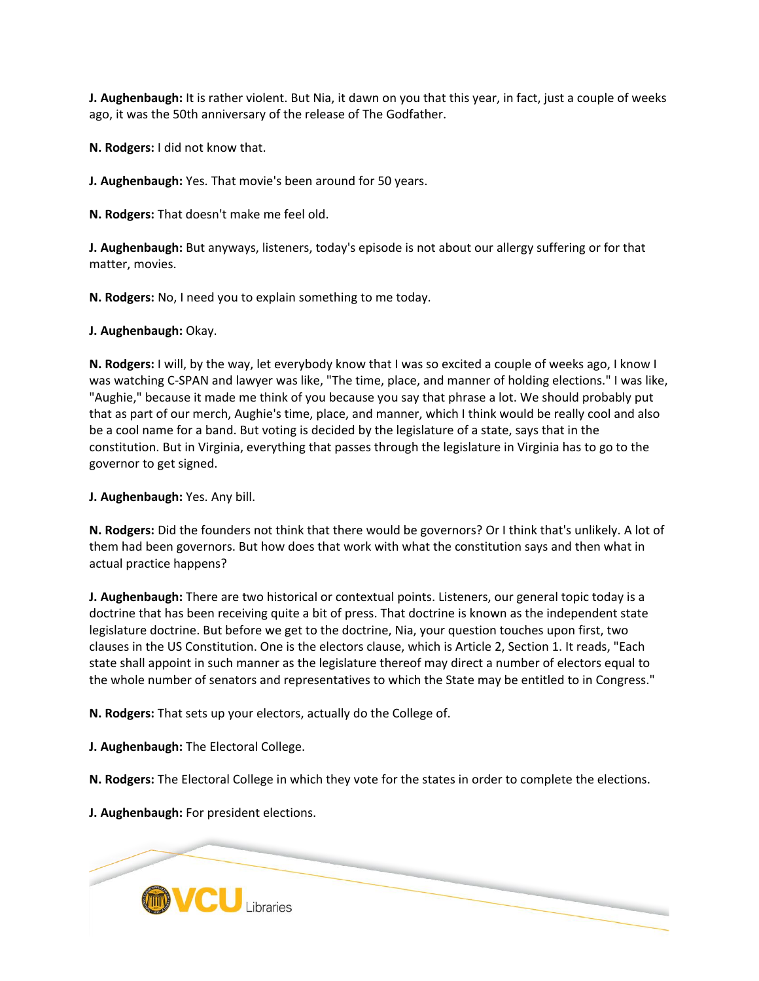**J. Aughenbaugh:** It is rather violent. But Nia, it dawn on you that this year, in fact, just a couple of weeks ago, it was the 50th anniversary of the release of The Godfather.

**N. Rodgers:** I did not know that.

**J. Aughenbaugh:** Yes. That movie's been around for 50 years.

**N. Rodgers:** That doesn't make me feel old.

**J. Aughenbaugh:** But anyways, listeners, today's episode is not about our allergy suffering or for that matter, movies.

**N. Rodgers:** No, I need you to explain something to me today.

**J. Aughenbaugh:** Okay.

**N. Rodgers:** I will, by the way, let everybody know that I was so excited a couple of weeks ago, I know I was watching C-SPAN and lawyer was like, "The time, place, and manner of holding elections." I was like, "Aughie," because it made me think of you because you say that phrase a lot. We should probably put that as part of our merch, Aughie's time, place, and manner, which I think would be really cool and also be a cool name for a band. But voting is decided by the legislature of a state, says that in the constitution. But in Virginia, everything that passes through the legislature in Virginia has to go to the governor to get signed.

**J. Aughenbaugh:** Yes. Any bill.

**N. Rodgers:** Did the founders not think that there would be governors? Or I think that's unlikely. A lot of them had been governors. But how does that work with what the constitution says and then what in actual practice happens?

**J. Aughenbaugh:** There are two historical or contextual points. Listeners, our general topic today is a doctrine that has been receiving quite a bit of press. That doctrine is known as the independent state legislature doctrine. But before we get to the doctrine, Nia, your question touches upon first, two clauses in the US Constitution. One is the electors clause, which is Article 2, Section 1. It reads, "Each state shall appoint in such manner as the legislature thereof may direct a number of electors equal to the whole number of senators and representatives to which the State may be entitled to in Congress."

**N. Rodgers:** That sets up your electors, actually do the College of.

**J. Aughenbaugh:** The Electoral College.

**N. Rodgers:** The Electoral College in which they vote for the states in order to complete the elections.

**J. Aughenbaugh:** For president elections.

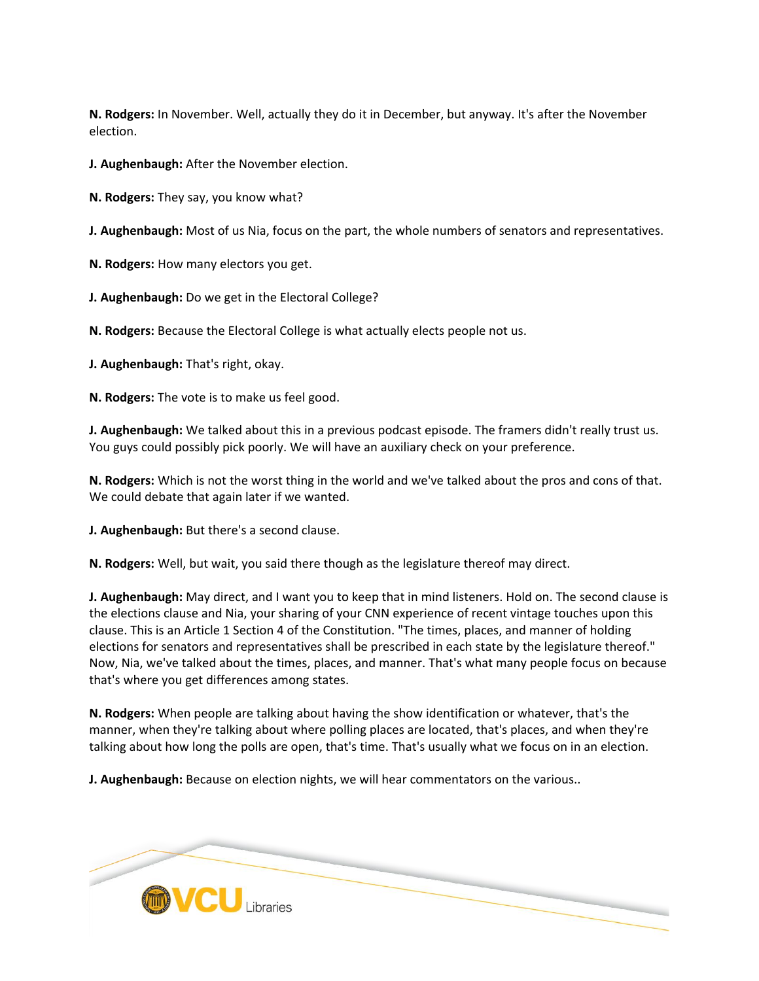**N. Rodgers:** In November. Well, actually they do it in December, but anyway. It's after the November election.

**J. Aughenbaugh:** After the November election.

**N. Rodgers:** They say, you know what?

**J. Aughenbaugh:** Most of us Nia, focus on the part, the whole numbers of senators and representatives.

**N. Rodgers:** How many electors you get.

**J. Aughenbaugh:** Do we get in the Electoral College?

**N. Rodgers:** Because the Electoral College is what actually elects people not us.

**J. Aughenbaugh:** That's right, okay.

**N. Rodgers:** The vote is to make us feel good.

**J. Aughenbaugh:** We talked about this in a previous podcast episode. The framers didn't really trust us. You guys could possibly pick poorly. We will have an auxiliary check on your preference.

**N. Rodgers:** Which is not the worst thing in the world and we've talked about the pros and cons of that. We could debate that again later if we wanted.

**J. Aughenbaugh:** But there's a second clause.

**N. Rodgers:** Well, but wait, you said there though as the legislature thereof may direct.

**J. Aughenbaugh:** May direct, and I want you to keep that in mind listeners. Hold on. The second clause is the elections clause and Nia, your sharing of your CNN experience of recent vintage touches upon this clause. This is an Article 1 Section 4 of the Constitution. "The times, places, and manner of holding elections for senators and representatives shall be prescribed in each state by the legislature thereof." Now, Nia, we've talked about the times, places, and manner. That's what many people focus on because that's where you get differences among states.

**N. Rodgers:** When people are talking about having the show identification or whatever, that's the manner, when they're talking about where polling places are located, that's places, and when they're talking about how long the polls are open, that's time. That's usually what we focus on in an election.

**J. Aughenbaugh:** Because on election nights, we will hear commentators on the various..

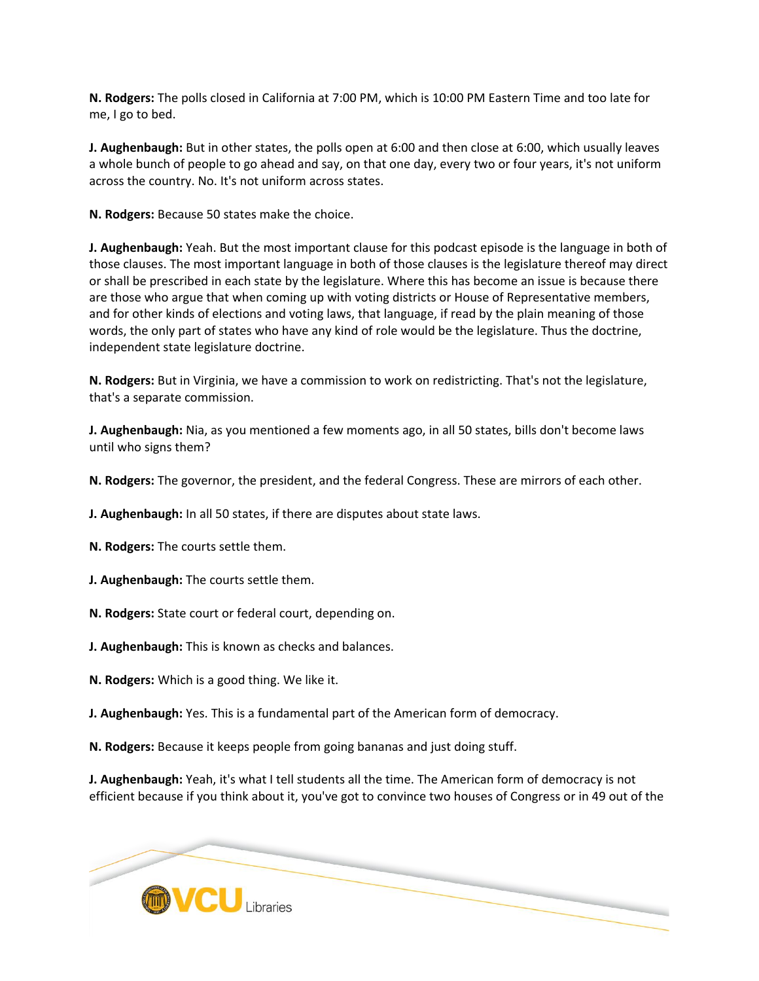**N. Rodgers:** The polls closed in California at 7:00 PM, which is 10:00 PM Eastern Time and too late for me, I go to bed.

**J. Aughenbaugh:** But in other states, the polls open at 6:00 and then close at 6:00, which usually leaves a whole bunch of people to go ahead and say, on that one day, every two or four years, it's not uniform across the country. No. It's not uniform across states.

**N. Rodgers:** Because 50 states make the choice.

**J. Aughenbaugh:** Yeah. But the most important clause for this podcast episode is the language in both of those clauses. The most important language in both of those clauses is the legislature thereof may direct or shall be prescribed in each state by the legislature. Where this has become an issue is because there are those who argue that when coming up with voting districts or House of Representative members, and for other kinds of elections and voting laws, that language, if read by the plain meaning of those words, the only part of states who have any kind of role would be the legislature. Thus the doctrine, independent state legislature doctrine.

**N. Rodgers:** But in Virginia, we have a commission to work on redistricting. That's not the legislature, that's a separate commission.

**J. Aughenbaugh:** Nia, as you mentioned a few moments ago, in all 50 states, bills don't become laws until who signs them?

**N. Rodgers:** The governor, the president, and the federal Congress. These are mirrors of each other.

**J. Aughenbaugh:** In all 50 states, if there are disputes about state laws.

**N. Rodgers:** The courts settle them.

**J. Aughenbaugh:** The courts settle them.

**N. Rodgers:** State court or federal court, depending on.

**J. Aughenbaugh:** This is known as checks and balances.

**N. Rodgers:** Which is a good thing. We like it.

**J. Aughenbaugh:** Yes. This is a fundamental part of the American form of democracy.

**N. Rodgers:** Because it keeps people from going bananas and just doing stuff.

**J. Aughenbaugh:** Yeah, it's what I tell students all the time. The American form of democracy is not efficient because if you think about it, you've got to convince two houses of Congress or in 49 out of the

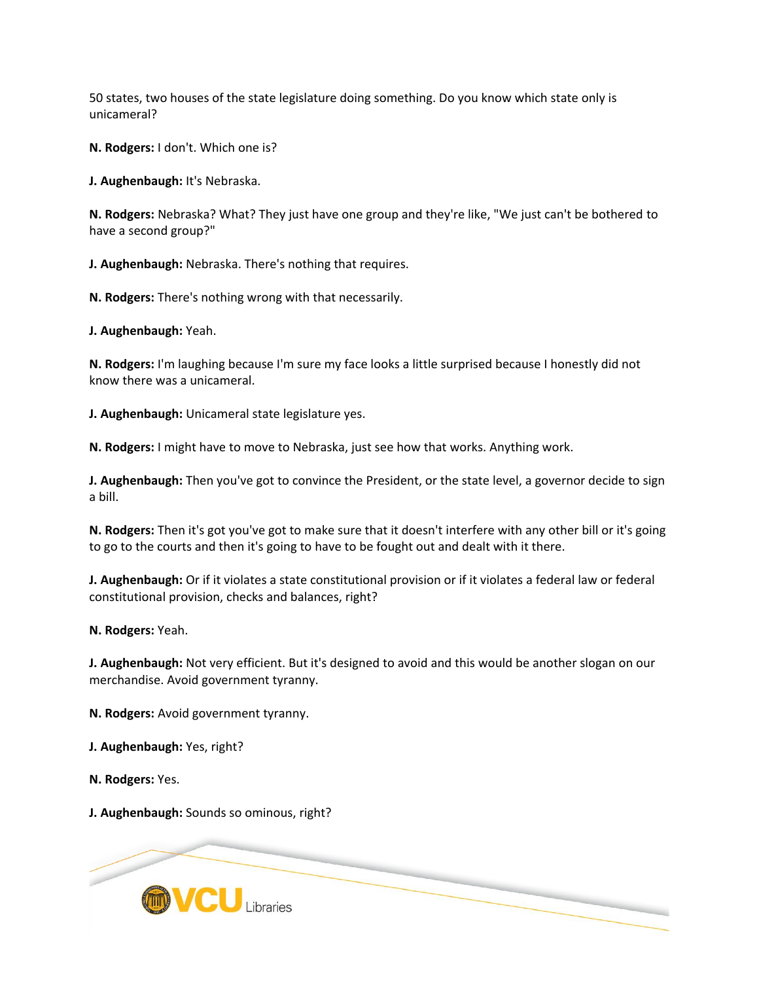50 states, two houses of the state legislature doing something. Do you know which state only is unicameral?

**N. Rodgers:** I don't. Which one is?

**J. Aughenbaugh:** It's Nebraska.

**N. Rodgers:** Nebraska? What? They just have one group and they're like, "We just can't be bothered to have a second group?"

**J. Aughenbaugh:** Nebraska. There's nothing that requires.

**N. Rodgers:** There's nothing wrong with that necessarily.

**J. Aughenbaugh:** Yeah.

**N. Rodgers:** I'm laughing because I'm sure my face looks a little surprised because I honestly did not know there was a unicameral.

**J. Aughenbaugh:** Unicameral state legislature yes.

**N. Rodgers:** I might have to move to Nebraska, just see how that works. Anything work.

**J. Aughenbaugh:** Then you've got to convince the President, or the state level, a governor decide to sign a bill.

**N. Rodgers:** Then it's got you've got to make sure that it doesn't interfere with any other bill or it's going to go to the courts and then it's going to have to be fought out and dealt with it there.

**J. Aughenbaugh:** Or if it violates a state constitutional provision or if it violates a federal law or federal constitutional provision, checks and balances, right?

**N. Rodgers:** Yeah.

**J. Aughenbaugh:** Not very efficient. But it's designed to avoid and this would be another slogan on our merchandise. Avoid government tyranny.

**N. Rodgers:** Avoid government tyranny.

**J. Aughenbaugh:** Yes, right?

**N. Rodgers:** Yes.

**J. Aughenbaugh:** Sounds so ominous, right?

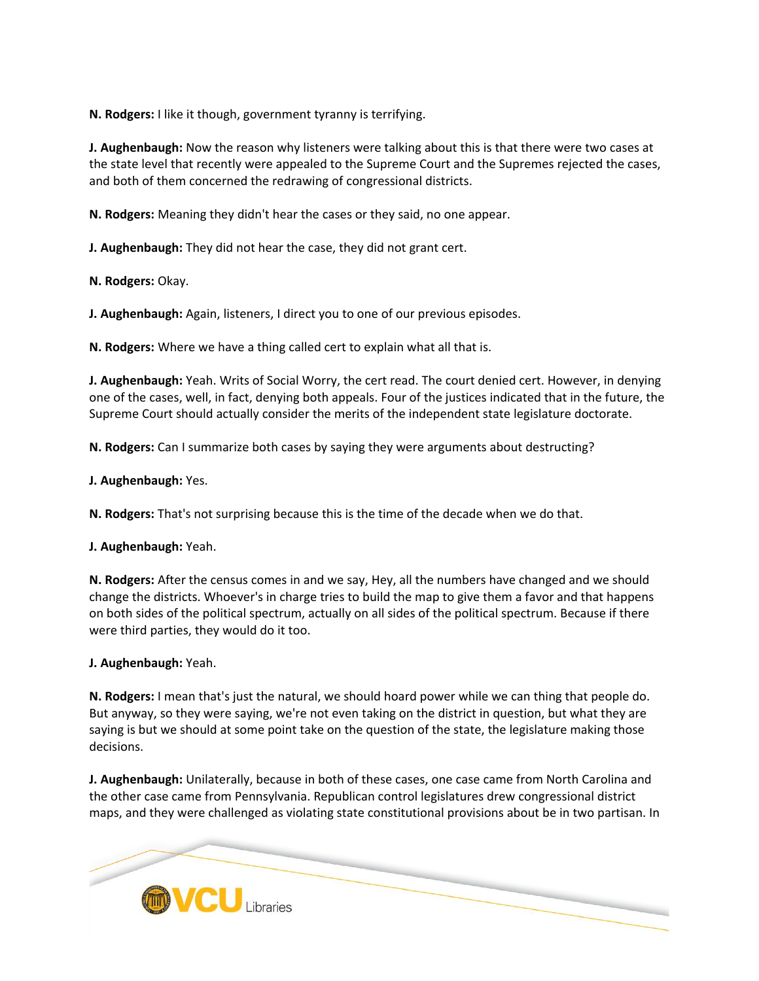**N. Rodgers:** I like it though, government tyranny is terrifying.

**J. Aughenbaugh:** Now the reason why listeners were talking about this is that there were two cases at the state level that recently were appealed to the Supreme Court and the Supremes rejected the cases, and both of them concerned the redrawing of congressional districts.

**N. Rodgers:** Meaning they didn't hear the cases or they said, no one appear.

**J. Aughenbaugh:** They did not hear the case, they did not grant cert.

**N. Rodgers:** Okay.

**J. Aughenbaugh:** Again, listeners, I direct you to one of our previous episodes.

**N. Rodgers:** Where we have a thing called cert to explain what all that is.

**J. Aughenbaugh:** Yeah. Writs of Social Worry, the cert read. The court denied cert. However, in denying one of the cases, well, in fact, denying both appeals. Four of the justices indicated that in the future, the Supreme Court should actually consider the merits of the independent state legislature doctorate.

**N. Rodgers:** Can I summarize both cases by saying they were arguments about destructing?

**J. Aughenbaugh:** Yes.

**N. Rodgers:** That's not surprising because this is the time of the decade when we do that.

**J. Aughenbaugh:** Yeah.

**N. Rodgers:** After the census comes in and we say, Hey, all the numbers have changed and we should change the districts. Whoever's in charge tries to build the map to give them a favor and that happens on both sides of the political spectrum, actually on all sides of the political spectrum. Because if there were third parties, they would do it too.

## **J. Aughenbaugh:** Yeah.

**N. Rodgers:** I mean that's just the natural, we should hoard power while we can thing that people do. But anyway, so they were saying, we're not even taking on the district in question, but what they are saying is but we should at some point take on the question of the state, the legislature making those decisions.

**J. Aughenbaugh:** Unilaterally, because in both of these cases, one case came from North Carolina and the other case came from Pennsylvania. Republican control legislatures drew congressional district maps, and they were challenged as violating state constitutional provisions about be in two partisan. In

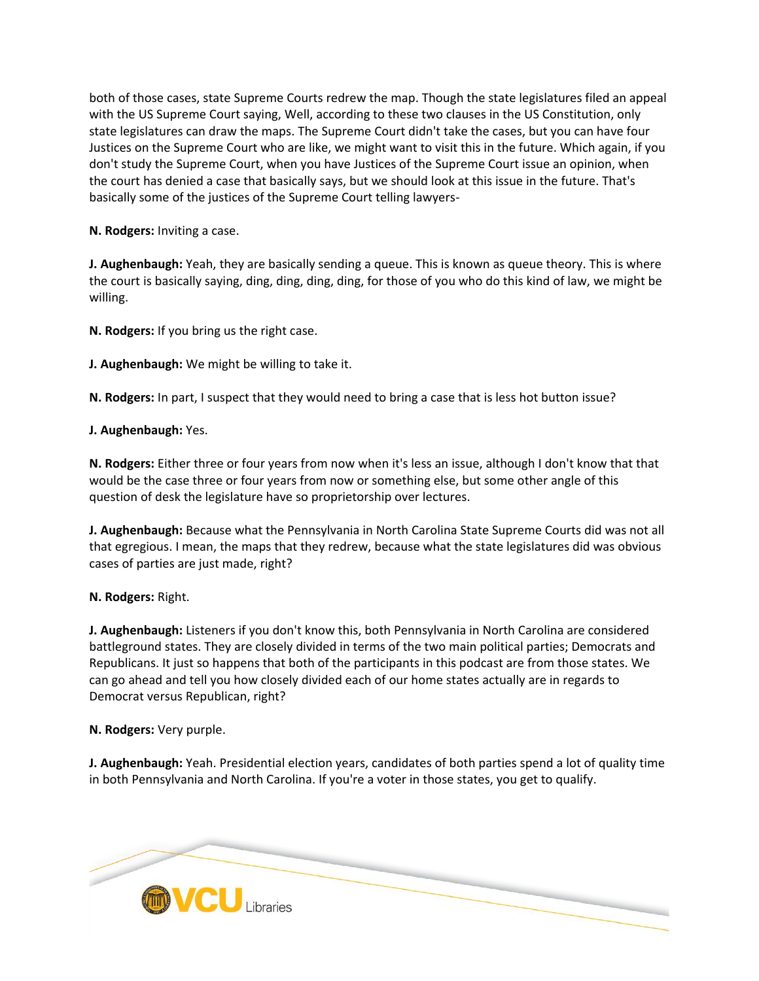both of those cases, state Supreme Courts redrew the map. Though the state legislatures filed an appeal with the US Supreme Court saying, Well, according to these two clauses in the US Constitution, only state legislatures can draw the maps. The Supreme Court didn't take the cases, but you can have four Justices on the Supreme Court who are like, we might want to visit this in the future. Which again, if you don't study the Supreme Court, when you have Justices of the Supreme Court issue an opinion, when the court has denied a case that basically says, but we should look at this issue in the future. That's basically some of the justices of the Supreme Court telling lawyers-

**N. Rodgers:** Inviting a case.

**J. Aughenbaugh:** Yeah, they are basically sending a queue. This is known as queue theory. This is where the court is basically saying, ding, ding, ding, ding, for those of you who do this kind of law, we might be willing.

**N. Rodgers:** If you bring us the right case.

**J. Aughenbaugh:** We might be willing to take it.

**N. Rodgers:** In part, I suspect that they would need to bring a case that is less hot button issue?

**J. Aughenbaugh:** Yes.

**N. Rodgers:** Either three or four years from now when it's less an issue, although I don't know that that would be the case three or four years from now or something else, but some other angle of this question of desk the legislature have so proprietorship over lectures.

**J. Aughenbaugh:** Because what the Pennsylvania in North Carolina State Supreme Courts did was not all that egregious. I mean, the maps that they redrew, because what the state legislatures did was obvious cases of parties are just made, right?

**N. Rodgers:** Right.

**J. Aughenbaugh:** Listeners if you don't know this, both Pennsylvania in North Carolina are considered battleground states. They are closely divided in terms of the two main political parties; Democrats and Republicans. It just so happens that both of the participants in this podcast are from those states. We can go ahead and tell you how closely divided each of our home states actually are in regards to Democrat versus Republican, right?

**N. Rodgers:** Very purple.

**J. Aughenbaugh:** Yeah. Presidential election years, candidates of both parties spend a lot of quality time in both Pennsylvania and North Carolina. If you're a voter in those states, you get to qualify.

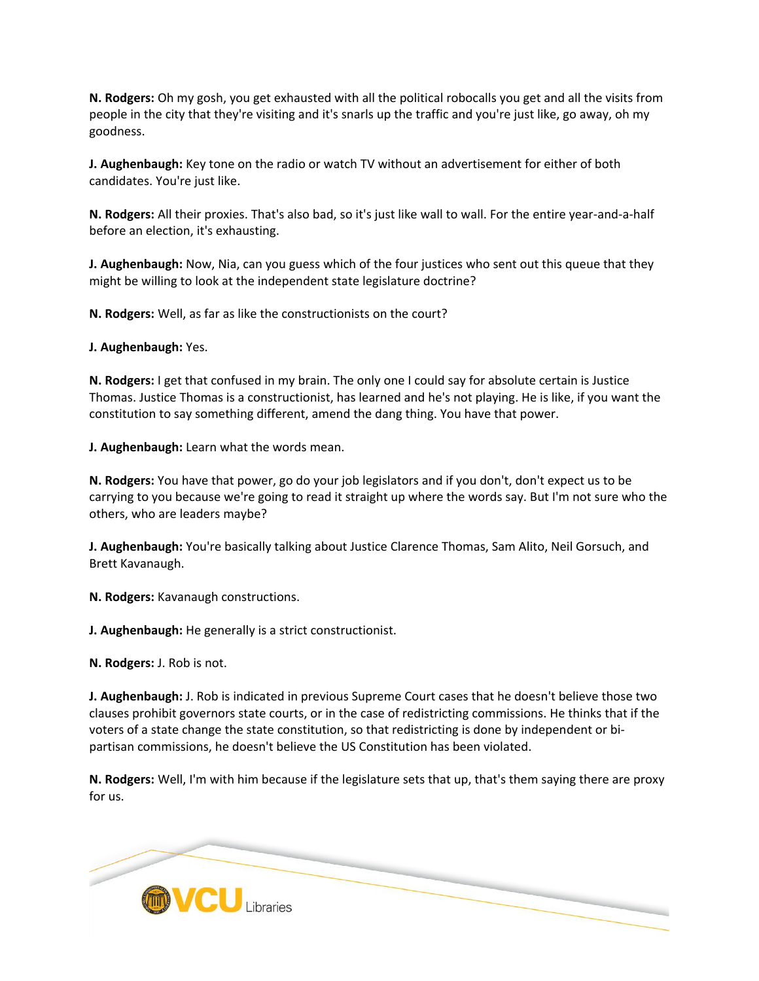**N. Rodgers:** Oh my gosh, you get exhausted with all the political robocalls you get and all the visits from people in the city that they're visiting and it's snarls up the traffic and you're just like, go away, oh my goodness.

**J. Aughenbaugh:** Key tone on the radio or watch TV without an advertisement for either of both candidates. You're just like.

**N. Rodgers:** All their proxies. That's also bad, so it's just like wall to wall. For the entire year-and-a-half before an election, it's exhausting.

**J. Aughenbaugh:** Now, Nia, can you guess which of the four justices who sent out this queue that they might be willing to look at the independent state legislature doctrine?

**N. Rodgers:** Well, as far as like the constructionists on the court?

**J. Aughenbaugh:** Yes.

**N. Rodgers:** I get that confused in my brain. The only one I could say for absolute certain is Justice Thomas. Justice Thomas is a constructionist, has learned and he's not playing. He is like, if you want the constitution to say something different, amend the dang thing. You have that power.

**J. Aughenbaugh:** Learn what the words mean.

**N. Rodgers:** You have that power, go do your job legislators and if you don't, don't expect us to be carrying to you because we're going to read it straight up where the words say. But I'm not sure who the others, who are leaders maybe?

**J. Aughenbaugh:** You're basically talking about Justice Clarence Thomas, Sam Alito, Neil Gorsuch, and Brett Kavanaugh.

**N. Rodgers:** Kavanaugh constructions.

**J. Aughenbaugh:** He generally is a strict constructionist.

**N. Rodgers:** J. Rob is not.

**J. Aughenbaugh:** J. Rob is indicated in previous Supreme Court cases that he doesn't believe those two clauses prohibit governors state courts, or in the case of redistricting commissions. He thinks that if the voters of a state change the state constitution, so that redistricting is done by independent or bipartisan commissions, he doesn't believe the US Constitution has been violated.

**N. Rodgers:** Well, I'm with him because if the legislature sets that up, that's them saying there are proxy for us.

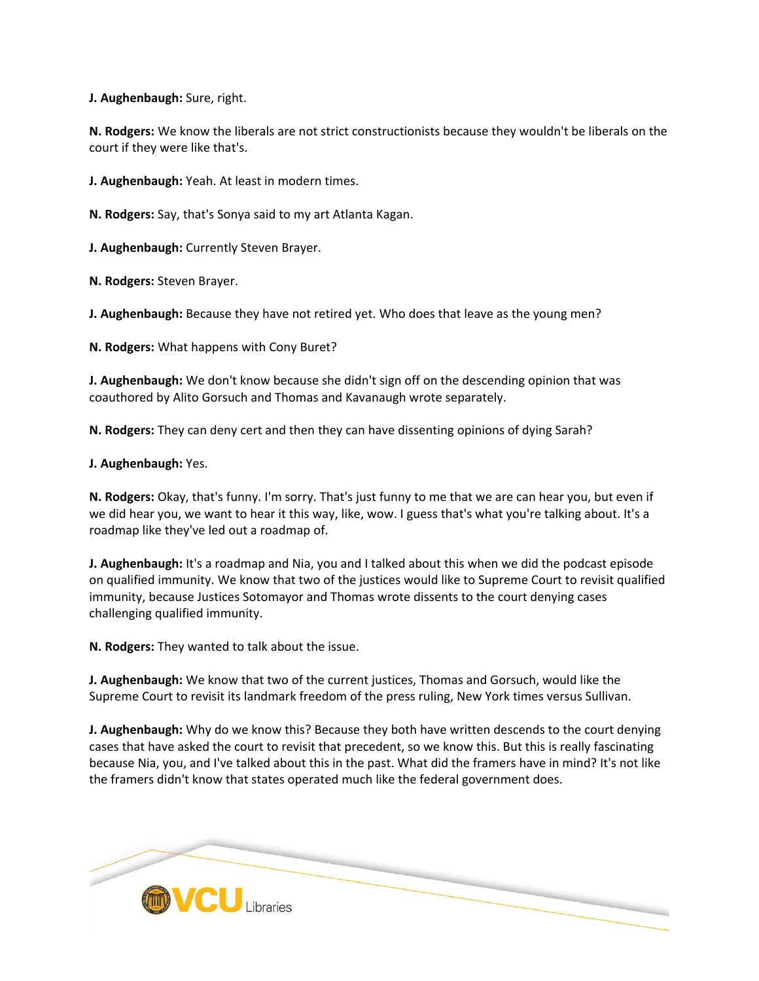**J. Aughenbaugh:** Sure, right.

**N. Rodgers:** We know the liberals are not strict constructionists because they wouldn't be liberals on the court if they were like that's.

**J. Aughenbaugh:** Yeah. At least in modern times.

**N. Rodgers:** Say, that's Sonya said to my art Atlanta Kagan.

**J. Aughenbaugh:** Currently Steven Brayer.

**N. Rodgers:** Steven Brayer.

**J. Aughenbaugh:** Because they have not retired yet. Who does that leave as the young men?

**N. Rodgers:** What happens with Cony Buret?

**J. Aughenbaugh:** We don't know because she didn't sign off on the descending opinion that was coauthored by Alito Gorsuch and Thomas and Kavanaugh wrote separately.

**N. Rodgers:** They can deny cert and then they can have dissenting opinions of dying Sarah?

## **J. Aughenbaugh:** Yes.

**N. Rodgers:** Okay, that's funny. I'm sorry. That's just funny to me that we are can hear you, but even if we did hear you, we want to hear it this way, like, wow. I guess that's what you're talking about. It's a roadmap like they've led out a roadmap of.

**J. Aughenbaugh:** It's a roadmap and Nia, you and I talked about this when we did the podcast episode on qualified immunity. We know that two of the justices would like to Supreme Court to revisit qualified immunity, because Justices Sotomayor and Thomas wrote dissents to the court denying cases challenging qualified immunity.

**N. Rodgers:** They wanted to talk about the issue.

**J. Aughenbaugh:** We know that two of the current justices, Thomas and Gorsuch, would like the Supreme Court to revisit its landmark freedom of the press ruling, New York times versus Sullivan.

**J. Aughenbaugh:** Why do we know this? Because they both have written descends to the court denying cases that have asked the court to revisit that precedent, so we know this. But this is really fascinating because Nia, you, and I've talked about this in the past. What did the framers have in mind? It's not like the framers didn't know that states operated much like the federal government does.

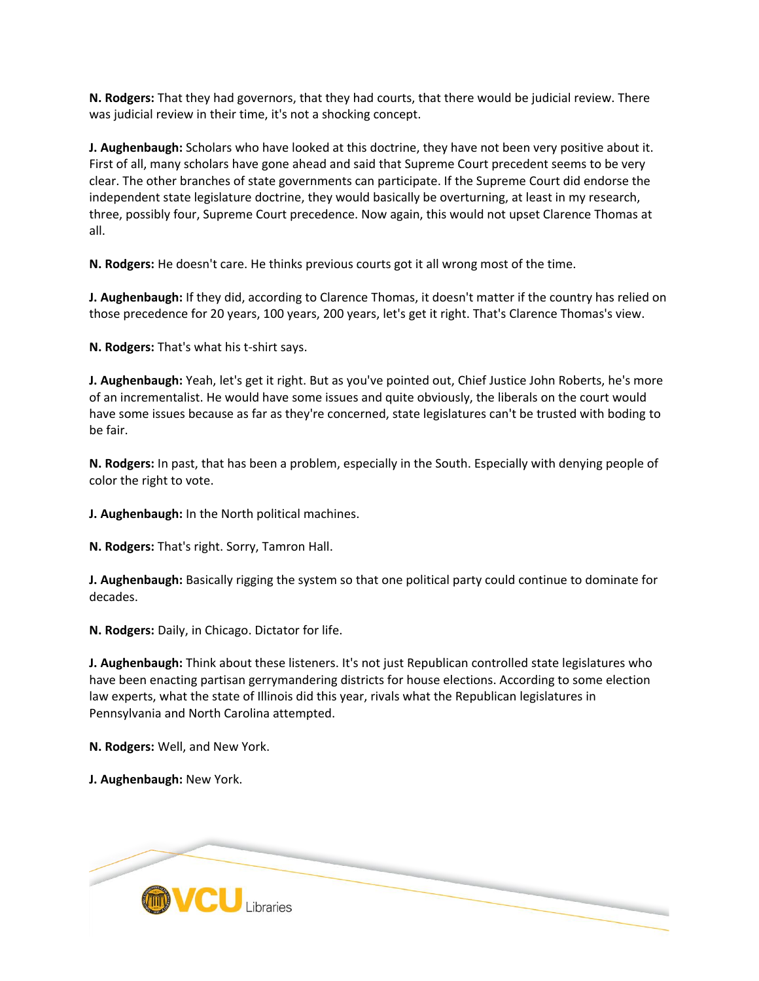**N. Rodgers:** That they had governors, that they had courts, that there would be judicial review. There was judicial review in their time, it's not a shocking concept.

**J. Aughenbaugh:** Scholars who have looked at this doctrine, they have not been very positive about it. First of all, many scholars have gone ahead and said that Supreme Court precedent seems to be very clear. The other branches of state governments can participate. If the Supreme Court did endorse the independent state legislature doctrine, they would basically be overturning, at least in my research, three, possibly four, Supreme Court precedence. Now again, this would not upset Clarence Thomas at all.

**N. Rodgers:** He doesn't care. He thinks previous courts got it all wrong most of the time.

**J. Aughenbaugh:** If they did, according to Clarence Thomas, it doesn't matter if the country has relied on those precedence for 20 years, 100 years, 200 years, let's get it right. That's Clarence Thomas's view.

**N. Rodgers:** That's what his t-shirt says.

**J. Aughenbaugh:** Yeah, let's get it right. But as you've pointed out, Chief Justice John Roberts, he's more of an incrementalist. He would have some issues and quite obviously, the liberals on the court would have some issues because as far as they're concerned, state legislatures can't be trusted with boding to be fair.

**N. Rodgers:** In past, that has been a problem, especially in the South. Especially with denying people of color the right to vote.

**J. Aughenbaugh:** In the North political machines.

**N. Rodgers:** That's right. Sorry, Tamron Hall.

**J. Aughenbaugh:** Basically rigging the system so that one political party could continue to dominate for decades.

**N. Rodgers:** Daily, in Chicago. Dictator for life.

**J. Aughenbaugh:** Think about these listeners. It's not just Republican controlled state legislatures who have been enacting partisan gerrymandering districts for house elections. According to some election law experts, what the state of Illinois did this year, rivals what the Republican legislatures in Pennsylvania and North Carolina attempted.

**N. Rodgers:** Well, and New York.

**J. Aughenbaugh:** New York.

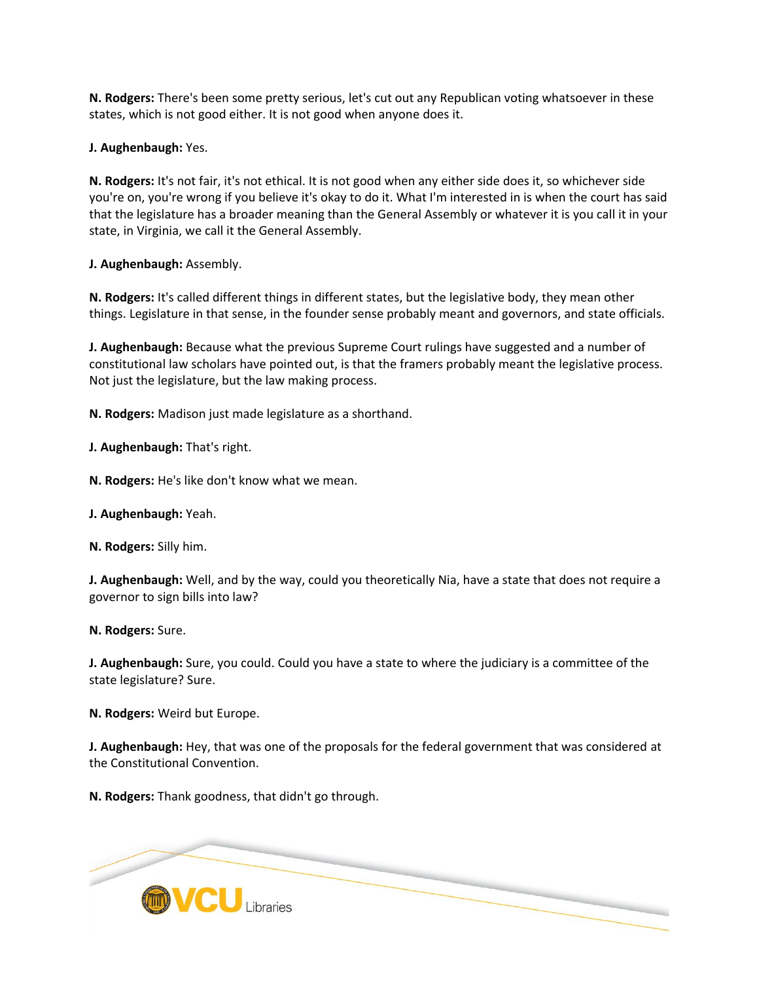**N. Rodgers:** There's been some pretty serious, let's cut out any Republican voting whatsoever in these states, which is not good either. It is not good when anyone does it.

**J. Aughenbaugh:** Yes.

**N. Rodgers:** It's not fair, it's not ethical. It is not good when any either side does it, so whichever side you're on, you're wrong if you believe it's okay to do it. What I'm interested in is when the court has said that the legislature has a broader meaning than the General Assembly or whatever it is you call it in your state, in Virginia, we call it the General Assembly.

**J. Aughenbaugh:** Assembly.

**N. Rodgers:** It's called different things in different states, but the legislative body, they mean other things. Legislature in that sense, in the founder sense probably meant and governors, and state officials.

**J. Aughenbaugh:** Because what the previous Supreme Court rulings have suggested and a number of constitutional law scholars have pointed out, is that the framers probably meant the legislative process. Not just the legislature, but the law making process.

**N. Rodgers:** Madison just made legislature as a shorthand.

**J. Aughenbaugh:** That's right.

**N. Rodgers:** He's like don't know what we mean.

**J. Aughenbaugh:** Yeah.

**N. Rodgers:** Silly him.

**J. Aughenbaugh:** Well, and by the way, could you theoretically Nia, have a state that does not require a governor to sign bills into law?

**N. Rodgers:** Sure.

**J. Aughenbaugh:** Sure, you could. Could you have a state to where the judiciary is a committee of the state legislature? Sure.

**N. Rodgers:** Weird but Europe.

**J. Aughenbaugh:** Hey, that was one of the proposals for the federal government that was considered at the Constitutional Convention.

**N. Rodgers:** Thank goodness, that didn't go through.

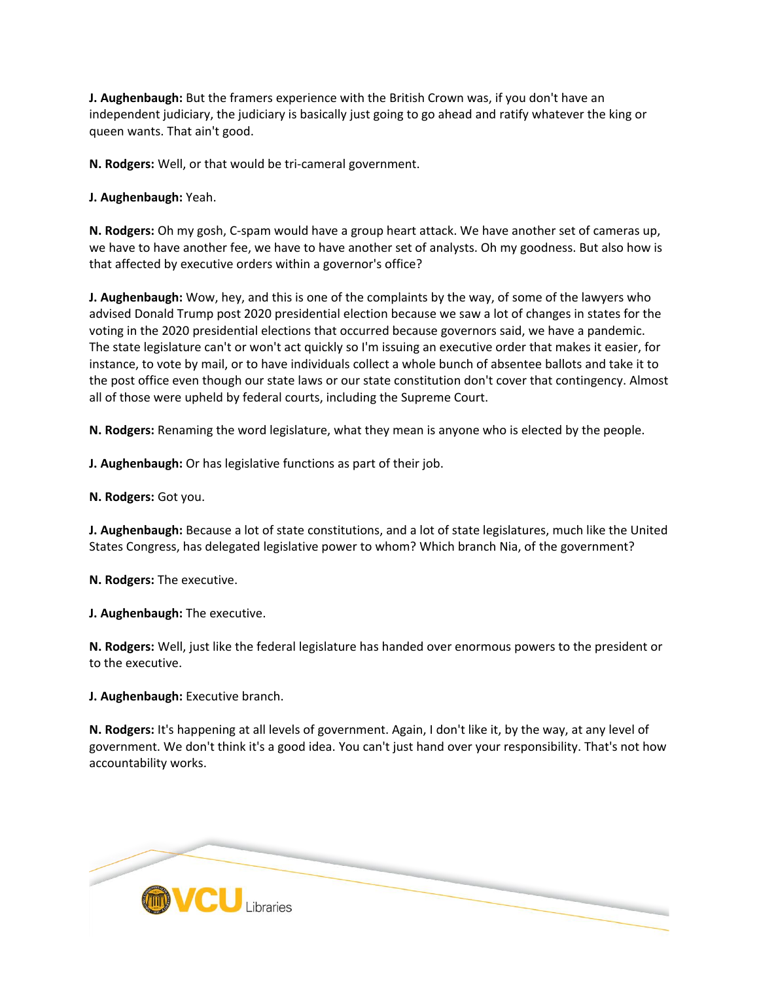**J. Aughenbaugh:** But the framers experience with the British Crown was, if you don't have an independent judiciary, the judiciary is basically just going to go ahead and ratify whatever the king or queen wants. That ain't good.

**N. Rodgers:** Well, or that would be tri-cameral government.

**J. Aughenbaugh:** Yeah.

**N. Rodgers:** Oh my gosh, C-spam would have a group heart attack. We have another set of cameras up, we have to have another fee, we have to have another set of analysts. Oh my goodness. But also how is that affected by executive orders within a governor's office?

**J. Aughenbaugh:** Wow, hey, and this is one of the complaints by the way, of some of the lawyers who advised Donald Trump post 2020 presidential election because we saw a lot of changes in states for the voting in the 2020 presidential elections that occurred because governors said, we have a pandemic. The state legislature can't or won't act quickly so I'm issuing an executive order that makes it easier, for instance, to vote by mail, or to have individuals collect a whole bunch of absentee ballots and take it to the post office even though our state laws or our state constitution don't cover that contingency. Almost all of those were upheld by federal courts, including the Supreme Court.

**N. Rodgers:** Renaming the word legislature, what they mean is anyone who is elected by the people.

**J. Aughenbaugh:** Or has legislative functions as part of their job.

**N. Rodgers:** Got you.

**J. Aughenbaugh:** Because a lot of state constitutions, and a lot of state legislatures, much like the United States Congress, has delegated legislative power to whom? Which branch Nia, of the government?

**N. Rodgers:** The executive.

**J. Aughenbaugh:** The executive.

**N. Rodgers:** Well, just like the federal legislature has handed over enormous powers to the president or to the executive.

**J. Aughenbaugh:** Executive branch.

**N. Rodgers:** It's happening at all levels of government. Again, I don't like it, by the way, at any level of government. We don't think it's a good idea. You can't just hand over your responsibility. That's not how accountability works.

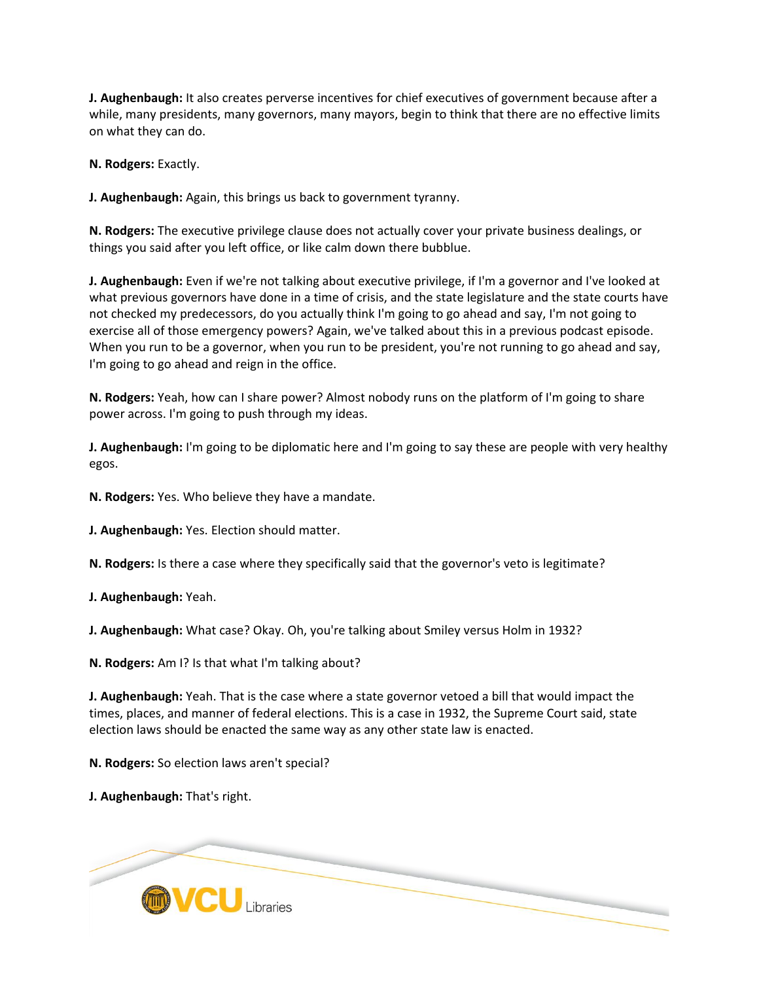**J. Aughenbaugh:** It also creates perverse incentives for chief executives of government because after a while, many presidents, many governors, many mayors, begin to think that there are no effective limits on what they can do.

**N. Rodgers:** Exactly.

**J. Aughenbaugh:** Again, this brings us back to government tyranny.

**N. Rodgers:** The executive privilege clause does not actually cover your private business dealings, or things you said after you left office, or like calm down there bubblue.

**J. Aughenbaugh:** Even if we're not talking about executive privilege, if I'm a governor and I've looked at what previous governors have done in a time of crisis, and the state legislature and the state courts have not checked my predecessors, do you actually think I'm going to go ahead and say, I'm not going to exercise all of those emergency powers? Again, we've talked about this in a previous podcast episode. When you run to be a governor, when you run to be president, you're not running to go ahead and say, I'm going to go ahead and reign in the office.

**N. Rodgers:** Yeah, how can I share power? Almost nobody runs on the platform of I'm going to share power across. I'm going to push through my ideas.

**J. Aughenbaugh:** I'm going to be diplomatic here and I'm going to say these are people with very healthy egos.

**N. Rodgers:** Yes. Who believe they have a mandate.

**J. Aughenbaugh:** Yes. Election should matter.

**N. Rodgers:** Is there a case where they specifically said that the governor's veto is legitimate?

**J. Aughenbaugh:** Yeah.

**J. Aughenbaugh:** What case? Okay. Oh, you're talking about Smiley versus Holm in 1932?

**N. Rodgers:** Am I? Is that what I'm talking about?

**J. Aughenbaugh:** Yeah. That is the case where a state governor vetoed a bill that would impact the times, places, and manner of federal elections. This is a case in 1932, the Supreme Court said, state election laws should be enacted the same way as any other state law is enacted.

**N. Rodgers:** So election laws aren't special?

**J. Aughenbaugh:** That's right.

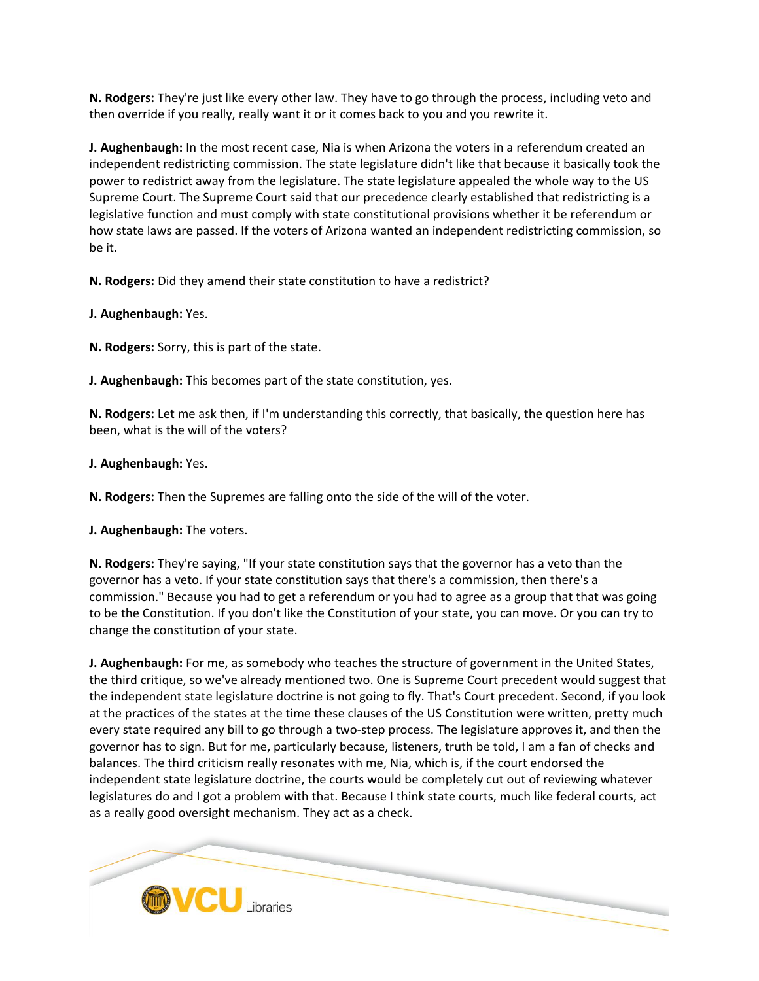**N. Rodgers:** They're just like every other law. They have to go through the process, including veto and then override if you really, really want it or it comes back to you and you rewrite it.

**J. Aughenbaugh:** In the most recent case, Nia is when Arizona the voters in a referendum created an independent redistricting commission. The state legislature didn't like that because it basically took the power to redistrict away from the legislature. The state legislature appealed the whole way to the US Supreme Court. The Supreme Court said that our precedence clearly established that redistricting is a legislative function and must comply with state constitutional provisions whether it be referendum or how state laws are passed. If the voters of Arizona wanted an independent redistricting commission, so be it.

**N. Rodgers:** Did they amend their state constitution to have a redistrict?

**J. Aughenbaugh:** Yes.

**N. Rodgers:** Sorry, this is part of the state.

**J. Aughenbaugh:** This becomes part of the state constitution, yes.

**N. Rodgers:** Let me ask then, if I'm understanding this correctly, that basically, the question here has been, what is the will of the voters?

## **J. Aughenbaugh:** Yes.

**N. Rodgers:** Then the Supremes are falling onto the side of the will of the voter.

**J. Aughenbaugh:** The voters.

**N. Rodgers:** They're saying, "If your state constitution says that the governor has a veto than the governor has a veto. If your state constitution says that there's a commission, then there's a commission." Because you had to get a referendum or you had to agree as a group that that was going to be the Constitution. If you don't like the Constitution of your state, you can move. Or you can try to change the constitution of your state.

**J. Aughenbaugh:** For me, as somebody who teaches the structure of government in the United States, the third critique, so we've already mentioned two. One is Supreme Court precedent would suggest that the independent state legislature doctrine is not going to fly. That's Court precedent. Second, if you look at the practices of the states at the time these clauses of the US Constitution were written, pretty much every state required any bill to go through a two-step process. The legislature approves it, and then the governor has to sign. But for me, particularly because, listeners, truth be told, I am a fan of checks and balances. The third criticism really resonates with me, Nia, which is, if the court endorsed the independent state legislature doctrine, the courts would be completely cut out of reviewing whatever legislatures do and I got a problem with that. Because I think state courts, much like federal courts, act as a really good oversight mechanism. They act as a check.

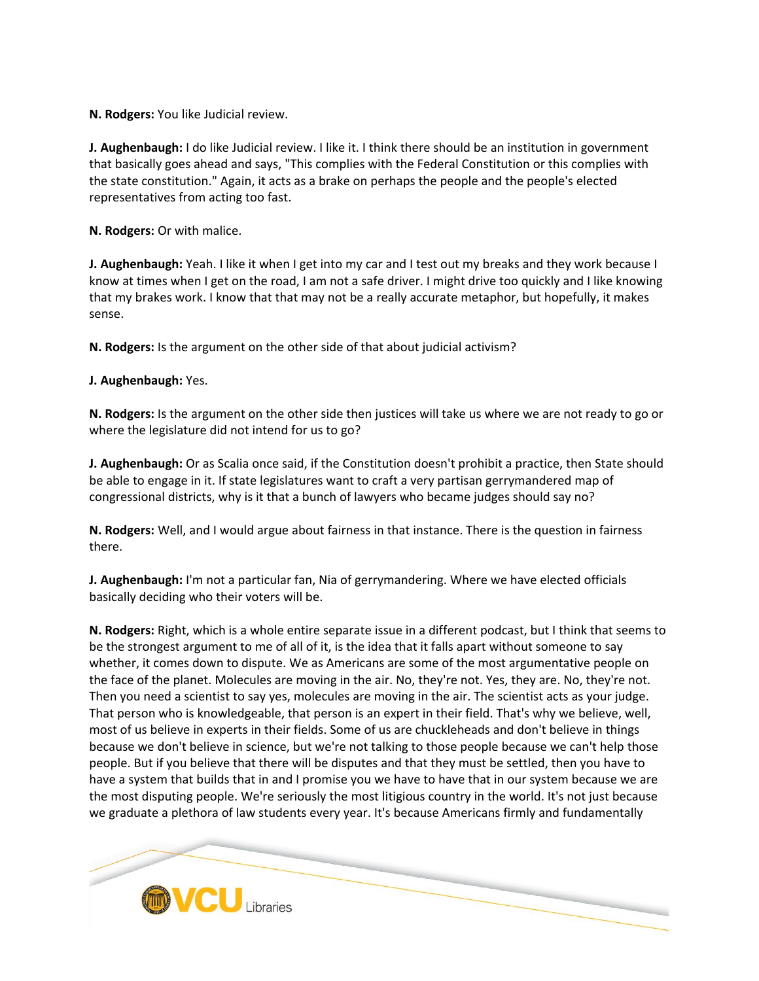**N. Rodgers:** You like Judicial review.

**J. Aughenbaugh:** I do like Judicial review. I like it. I think there should be an institution in government that basically goes ahead and says, "This complies with the Federal Constitution or this complies with the state constitution." Again, it acts as a brake on perhaps the people and the people's elected representatives from acting too fast.

**N. Rodgers:** Or with malice.

**J. Aughenbaugh:** Yeah. I like it when I get into my car and I test out my breaks and they work because I know at times when I get on the road, I am not a safe driver. I might drive too quickly and I like knowing that my brakes work. I know that that may not be a really accurate metaphor, but hopefully, it makes sense.

**N. Rodgers:** Is the argument on the other side of that about judicial activism?

**J. Aughenbaugh:** Yes.

**N. Rodgers:** Is the argument on the other side then justices will take us where we are not ready to go or where the legislature did not intend for us to go?

**J. Aughenbaugh:** Or as Scalia once said, if the Constitution doesn't prohibit a practice, then State should be able to engage in it. If state legislatures want to craft a very partisan gerrymandered map of congressional districts, why is it that a bunch of lawyers who became judges should say no?

**N. Rodgers:** Well, and I would argue about fairness in that instance. There is the question in fairness there.

**J. Aughenbaugh:** I'm not a particular fan, Nia of gerrymandering. Where we have elected officials basically deciding who their voters will be.

**N. Rodgers:** Right, which is a whole entire separate issue in a different podcast, but I think that seems to be the strongest argument to me of all of it, is the idea that it falls apart without someone to say whether, it comes down to dispute. We as Americans are some of the most argumentative people on the face of the planet. Molecules are moving in the air. No, they're not. Yes, they are. No, they're not. Then you need a scientist to say yes, molecules are moving in the air. The scientist acts as your judge. That person who is knowledgeable, that person is an expert in their field. That's why we believe, well, most of us believe in experts in their fields. Some of us are chuckleheads and don't believe in things because we don't believe in science, but we're not talking to those people because we can't help those people. But if you believe that there will be disputes and that they must be settled, then you have to have a system that builds that in and I promise you we have to have that in our system because we are the most disputing people. We're seriously the most litigious country in the world. It's not just because we graduate a plethora of law students every year. It's because Americans firmly and fundamentally

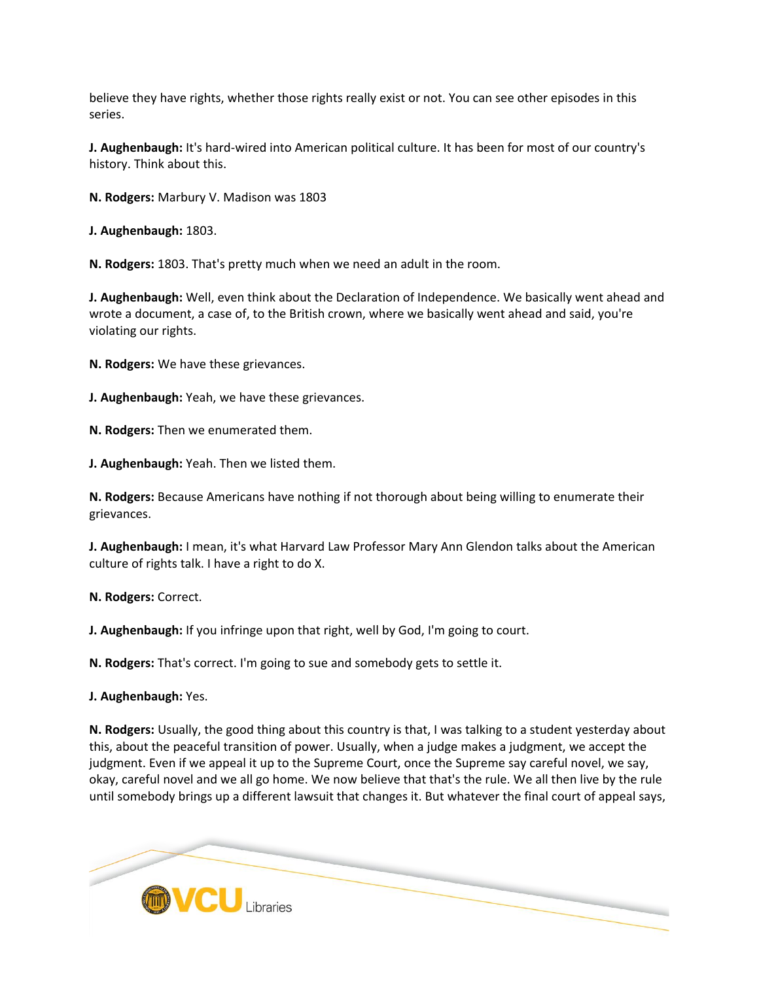believe they have rights, whether those rights really exist or not. You can see other episodes in this series.

**J. Aughenbaugh:** It's hard-wired into American political culture. It has been for most of our country's history. Think about this.

**N. Rodgers:** Marbury V. Madison was 1803

**J. Aughenbaugh:** 1803.

**N. Rodgers:** 1803. That's pretty much when we need an adult in the room.

**J. Aughenbaugh:** Well, even think about the Declaration of Independence. We basically went ahead and wrote a document, a case of, to the British crown, where we basically went ahead and said, you're violating our rights.

**N. Rodgers:** We have these grievances.

**J. Aughenbaugh:** Yeah, we have these grievances.

**N. Rodgers:** Then we enumerated them.

**J. Aughenbaugh:** Yeah. Then we listed them.

**N. Rodgers:** Because Americans have nothing if not thorough about being willing to enumerate their grievances.

**J. Aughenbaugh:** I mean, it's what Harvard Law Professor Mary Ann Glendon talks about the American culture of rights talk. I have a right to do X.

**N. Rodgers:** Correct.

**J. Aughenbaugh:** If you infringe upon that right, well by God, I'm going to court.

**N. Rodgers:** That's correct. I'm going to sue and somebody gets to settle it.

**J. Aughenbaugh:** Yes.

**N. Rodgers:** Usually, the good thing about this country is that, I was talking to a student yesterday about this, about the peaceful transition of power. Usually, when a judge makes a judgment, we accept the judgment. Even if we appeal it up to the Supreme Court, once the Supreme say careful novel, we say, okay, careful novel and we all go home. We now believe that that's the rule. We all then live by the rule until somebody brings up a different lawsuit that changes it. But whatever the final court of appeal says,

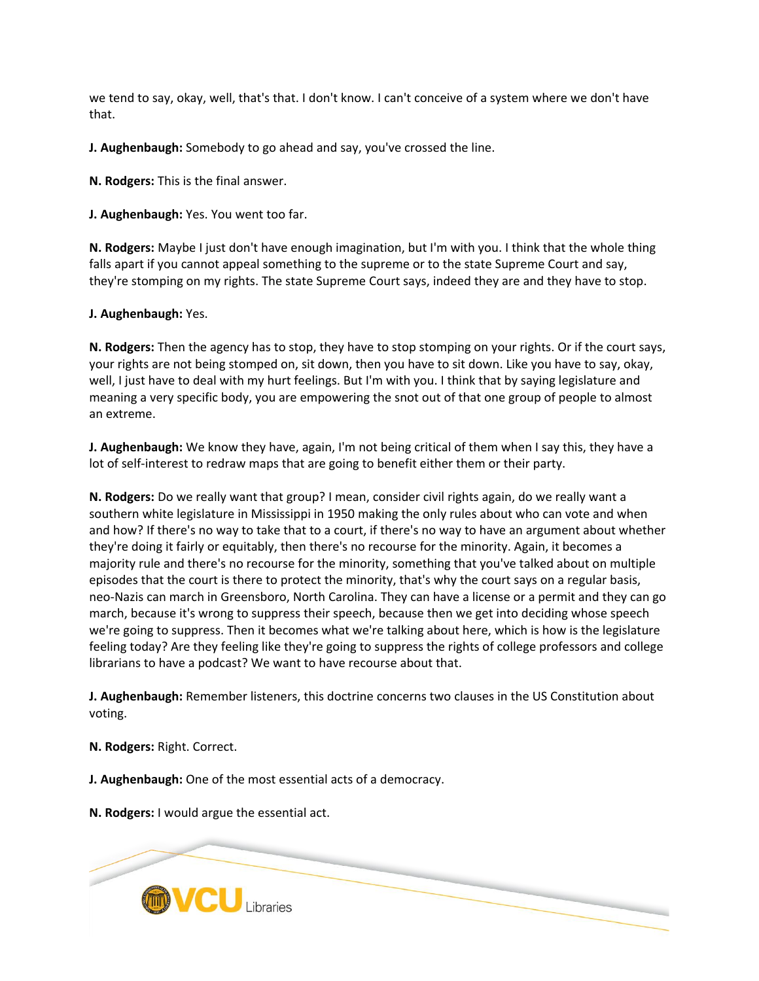we tend to say, okay, well, that's that. I don't know. I can't conceive of a system where we don't have that.

**J. Aughenbaugh:** Somebody to go ahead and say, you've crossed the line.

**N. Rodgers:** This is the final answer.

**J. Aughenbaugh:** Yes. You went too far.

**N. Rodgers:** Maybe I just don't have enough imagination, but I'm with you. I think that the whole thing falls apart if you cannot appeal something to the supreme or to the state Supreme Court and say, they're stomping on my rights. The state Supreme Court says, indeed they are and they have to stop.

## **J. Aughenbaugh:** Yes.

**N. Rodgers:** Then the agency has to stop, they have to stop stomping on your rights. Or if the court says, your rights are not being stomped on, sit down, then you have to sit down. Like you have to say, okay, well, I just have to deal with my hurt feelings. But I'm with you. I think that by saying legislature and meaning a very specific body, you are empowering the snot out of that one group of people to almost an extreme.

**J. Aughenbaugh:** We know they have, again, I'm not being critical of them when I say this, they have a lot of self-interest to redraw maps that are going to benefit either them or their party.

**N. Rodgers:** Do we really want that group? I mean, consider civil rights again, do we really want a southern white legislature in Mississippi in 1950 making the only rules about who can vote and when and how? If there's no way to take that to a court, if there's no way to have an argument about whether they're doing it fairly or equitably, then there's no recourse for the minority. Again, it becomes a majority rule and there's no recourse for the minority, something that you've talked about on multiple episodes that the court is there to protect the minority, that's why the court says on a regular basis, neo-Nazis can march in Greensboro, North Carolina. They can have a license or a permit and they can go march, because it's wrong to suppress their speech, because then we get into deciding whose speech we're going to suppress. Then it becomes what we're talking about here, which is how is the legislature feeling today? Are they feeling like they're going to suppress the rights of college professors and college librarians to have a podcast? We want to have recourse about that.

**J. Aughenbaugh:** Remember listeners, this doctrine concerns two clauses in the US Constitution about voting.

**N. Rodgers:** Right. Correct.

**J. Aughenbaugh:** One of the most essential acts of a democracy.

**N. Rodgers:** I would argue the essential act.

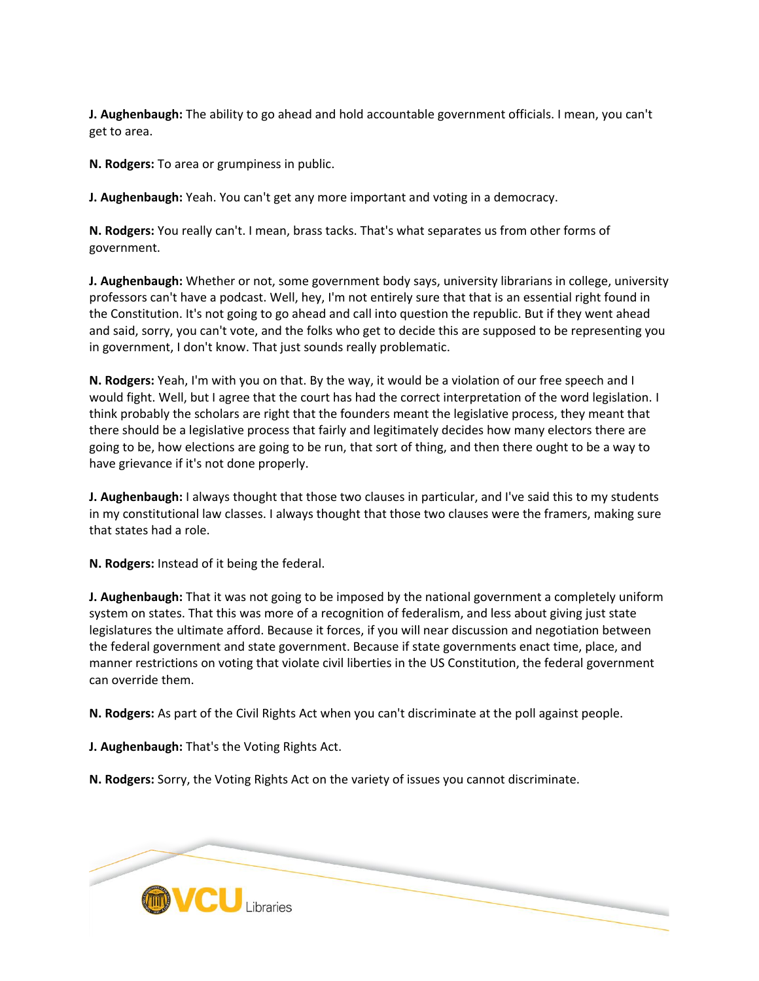**J. Aughenbaugh:** The ability to go ahead and hold accountable government officials. I mean, you can't get to area.

**N. Rodgers:** To area or grumpiness in public.

**J. Aughenbaugh:** Yeah. You can't get any more important and voting in a democracy.

**N. Rodgers:** You really can't. I mean, brass tacks. That's what separates us from other forms of government.

**J. Aughenbaugh:** Whether or not, some government body says, university librarians in college, university professors can't have a podcast. Well, hey, I'm not entirely sure that that is an essential right found in the Constitution. It's not going to go ahead and call into question the republic. But if they went ahead and said, sorry, you can't vote, and the folks who get to decide this are supposed to be representing you in government, I don't know. That just sounds really problematic.

**N. Rodgers:** Yeah, I'm with you on that. By the way, it would be a violation of our free speech and I would fight. Well, but I agree that the court has had the correct interpretation of the word legislation. I think probably the scholars are right that the founders meant the legislative process, they meant that there should be a legislative process that fairly and legitimately decides how many electors there are going to be, how elections are going to be run, that sort of thing, and then there ought to be a way to have grievance if it's not done properly.

**J. Aughenbaugh:** I always thought that those two clauses in particular, and I've said this to my students in my constitutional law classes. I always thought that those two clauses were the framers, making sure that states had a role.

**N. Rodgers:** Instead of it being the federal.

**J. Aughenbaugh:** That it was not going to be imposed by the national government a completely uniform system on states. That this was more of a recognition of federalism, and less about giving just state legislatures the ultimate afford. Because it forces, if you will near discussion and negotiation between the federal government and state government. Because if state governments enact time, place, and manner restrictions on voting that violate civil liberties in the US Constitution, the federal government can override them.

**N. Rodgers:** As part of the Civil Rights Act when you can't discriminate at the poll against people.

**J. Aughenbaugh:** That's the Voting Rights Act.

**N. Rodgers:** Sorry, the Voting Rights Act on the variety of issues you cannot discriminate.

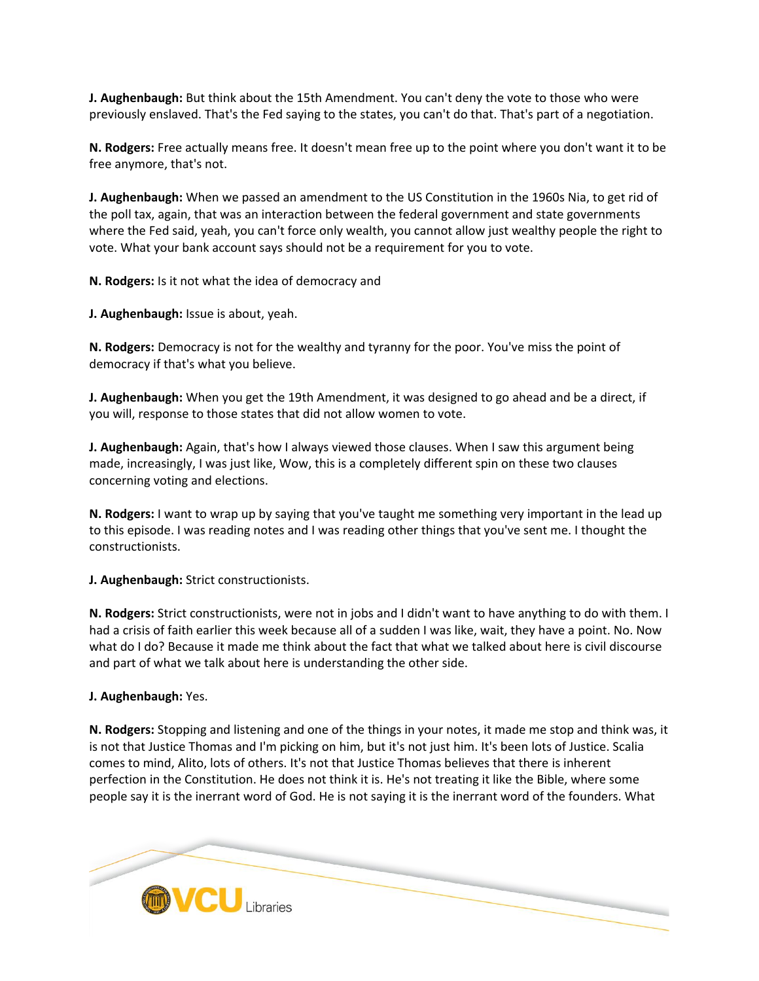**J. Aughenbaugh:** But think about the 15th Amendment. You can't deny the vote to those who were previously enslaved. That's the Fed saying to the states, you can't do that. That's part of a negotiation.

**N. Rodgers:** Free actually means free. It doesn't mean free up to the point where you don't want it to be free anymore, that's not.

**J. Aughenbaugh:** When we passed an amendment to the US Constitution in the 1960s Nia, to get rid of the poll tax, again, that was an interaction between the federal government and state governments where the Fed said, yeah, you can't force only wealth, you cannot allow just wealthy people the right to vote. What your bank account says should not be a requirement for you to vote.

**N. Rodgers:** Is it not what the idea of democracy and

**J. Aughenbaugh:** Issue is about, yeah.

**N. Rodgers:** Democracy is not for the wealthy and tyranny for the poor. You've miss the point of democracy if that's what you believe.

**J. Aughenbaugh:** When you get the 19th Amendment, it was designed to go ahead and be a direct, if you will, response to those states that did not allow women to vote.

**J. Aughenbaugh:** Again, that's how I always viewed those clauses. When I saw this argument being made, increasingly, I was just like, Wow, this is a completely different spin on these two clauses concerning voting and elections.

**N. Rodgers:** I want to wrap up by saying that you've taught me something very important in the lead up to this episode. I was reading notes and I was reading other things that you've sent me. I thought the constructionists.

**J. Aughenbaugh:** Strict constructionists.

**N. Rodgers:** Strict constructionists, were not in jobs and I didn't want to have anything to do with them. I had a crisis of faith earlier this week because all of a sudden I was like, wait, they have a point. No. Now what do I do? Because it made me think about the fact that what we talked about here is civil discourse and part of what we talk about here is understanding the other side.

## **J. Aughenbaugh:** Yes.

**N. Rodgers:** Stopping and listening and one of the things in your notes, it made me stop and think was, it is not that Justice Thomas and I'm picking on him, but it's not just him. It's been lots of Justice. Scalia comes to mind, Alito, lots of others. It's not that Justice Thomas believes that there is inherent perfection in the Constitution. He does not think it is. He's not treating it like the Bible, where some people say it is the inerrant word of God. He is not saying it is the inerrant word of the founders. What

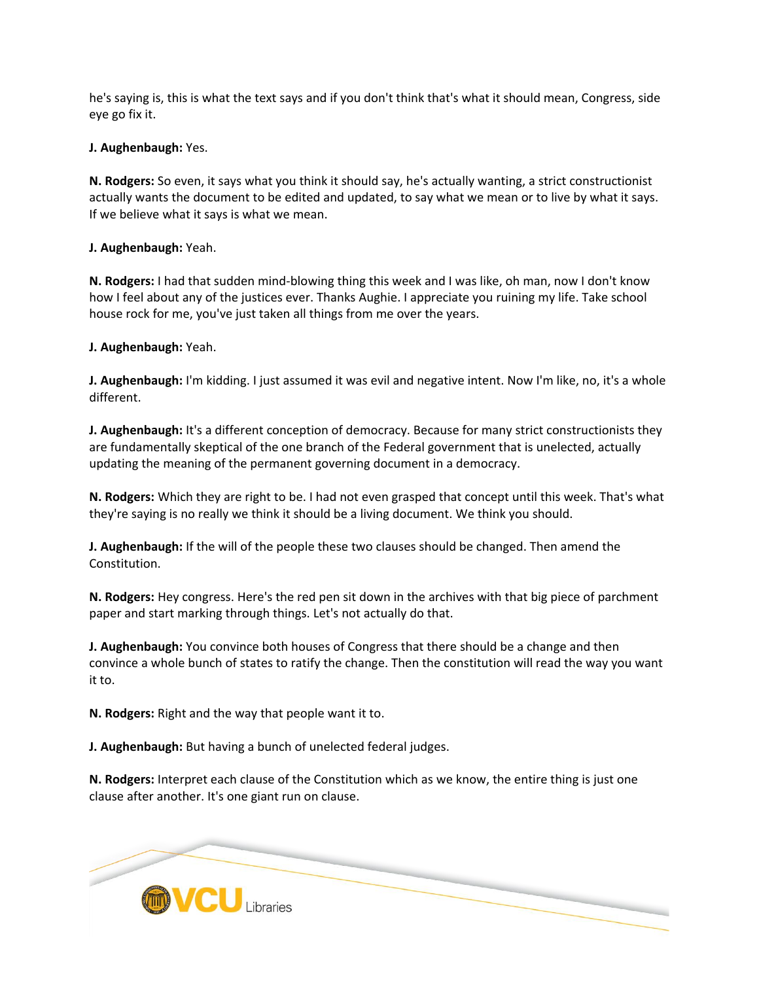he's saying is, this is what the text says and if you don't think that's what it should mean, Congress, side eye go fix it.

**J. Aughenbaugh:** Yes.

**N. Rodgers:** So even, it says what you think it should say, he's actually wanting, a strict constructionist actually wants the document to be edited and updated, to say what we mean or to live by what it says. If we believe what it says is what we mean.

**J. Aughenbaugh:** Yeah.

**N. Rodgers:** I had that sudden mind-blowing thing this week and I was like, oh man, now I don't know how I feel about any of the justices ever. Thanks Aughie. I appreciate you ruining my life. Take school house rock for me, you've just taken all things from me over the years.

**J. Aughenbaugh:** Yeah.

**J. Aughenbaugh:** I'm kidding. I just assumed it was evil and negative intent. Now I'm like, no, it's a whole different.

**J. Aughenbaugh:** It's a different conception of democracy. Because for many strict constructionists they are fundamentally skeptical of the one branch of the Federal government that is unelected, actually updating the meaning of the permanent governing document in a democracy.

**N. Rodgers:** Which they are right to be. I had not even grasped that concept until this week. That's what they're saying is no really we think it should be a living document. We think you should.

**J. Aughenbaugh:** If the will of the people these two clauses should be changed. Then amend the Constitution.

**N. Rodgers:** Hey congress. Here's the red pen sit down in the archives with that big piece of parchment paper and start marking through things. Let's not actually do that.

**J. Aughenbaugh:** You convince both houses of Congress that there should be a change and then convince a whole bunch of states to ratify the change. Then the constitution will read the way you want it to.

**N. Rodgers:** Right and the way that people want it to.

**J. Aughenbaugh:** But having a bunch of unelected federal judges.

**N. Rodgers:** Interpret each clause of the Constitution which as we know, the entire thing is just one clause after another. It's one giant run on clause.

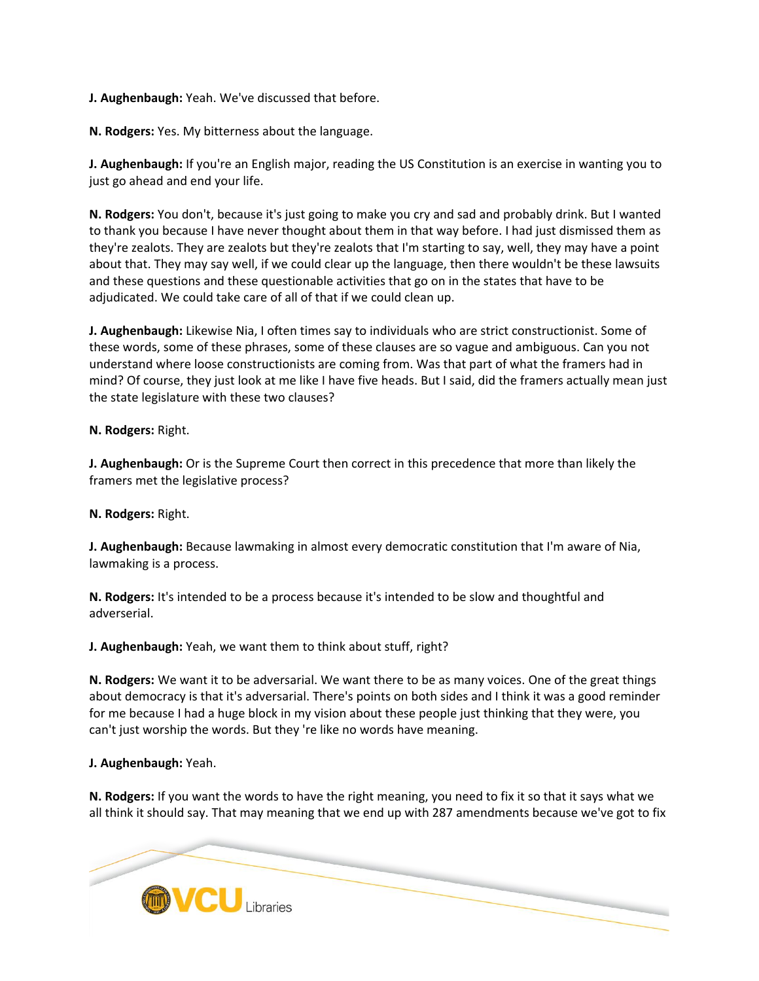**J. Aughenbaugh:** Yeah. We've discussed that before.

**N. Rodgers:** Yes. My bitterness about the language.

**J. Aughenbaugh:** If you're an English major, reading the US Constitution is an exercise in wanting you to just go ahead and end your life.

**N. Rodgers:** You don't, because it's just going to make you cry and sad and probably drink. But I wanted to thank you because I have never thought about them in that way before. I had just dismissed them as they're zealots. They are zealots but they're zealots that I'm starting to say, well, they may have a point about that. They may say well, if we could clear up the language, then there wouldn't be these lawsuits and these questions and these questionable activities that go on in the states that have to be adjudicated. We could take care of all of that if we could clean up.

**J. Aughenbaugh:** Likewise Nia, I often times say to individuals who are strict constructionist. Some of these words, some of these phrases, some of these clauses are so vague and ambiguous. Can you not understand where loose constructionists are coming from. Was that part of what the framers had in mind? Of course, they just look at me like I have five heads. But I said, did the framers actually mean just the state legislature with these two clauses?

**N. Rodgers:** Right.

**J. Aughenbaugh:** Or is the Supreme Court then correct in this precedence that more than likely the framers met the legislative process?

**N. Rodgers:** Right.

**J. Aughenbaugh:** Because lawmaking in almost every democratic constitution that I'm aware of Nia, lawmaking is a process.

**N. Rodgers:** It's intended to be a process because it's intended to be slow and thoughtful and adverserial.

**J. Aughenbaugh:** Yeah, we want them to think about stuff, right?

**N. Rodgers:** We want it to be adversarial. We want there to be as many voices. One of the great things about democracy is that it's adversarial. There's points on both sides and I think it was a good reminder for me because I had a huge block in my vision about these people just thinking that they were, you can't just worship the words. But they 're like no words have meaning.

## **J. Aughenbaugh:** Yeah.

**N. Rodgers:** If you want the words to have the right meaning, you need to fix it so that it says what we all think it should say. That may meaning that we end up with 287 amendments because we've got to fix

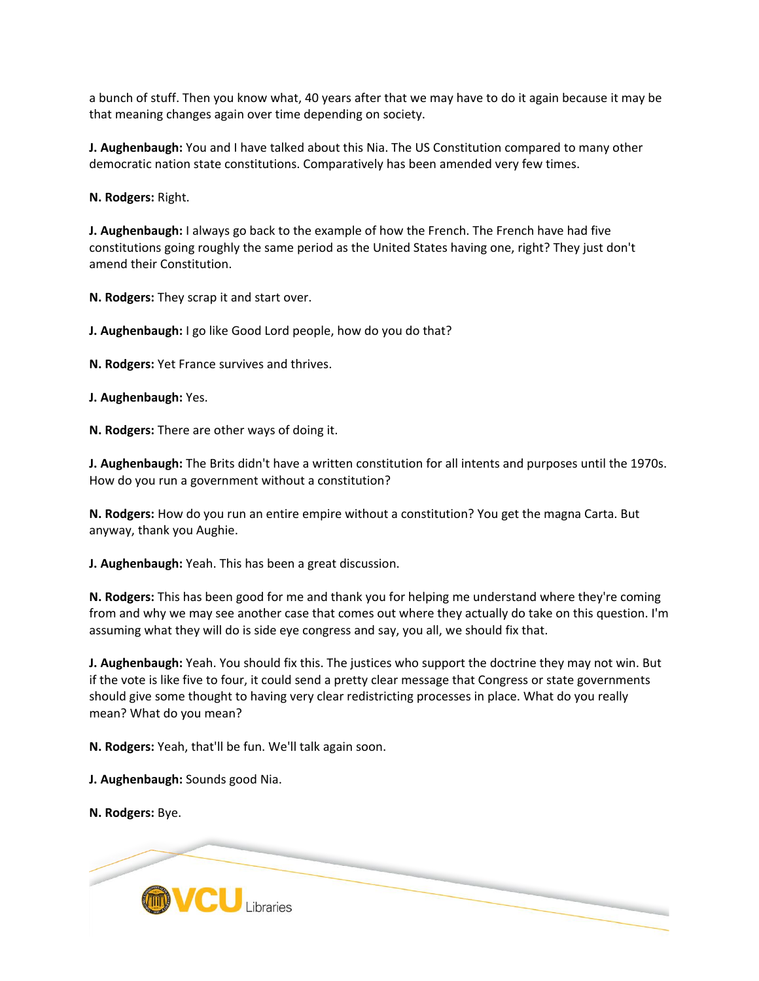a bunch of stuff. Then you know what, 40 years after that we may have to do it again because it may be that meaning changes again over time depending on society.

**J. Aughenbaugh:** You and I have talked about this Nia. The US Constitution compared to many other democratic nation state constitutions. Comparatively has been amended very few times.

**N. Rodgers:** Right.

**J. Aughenbaugh:** I always go back to the example of how the French. The French have had five constitutions going roughly the same period as the United States having one, right? They just don't amend their Constitution.

**N. Rodgers:** They scrap it and start over.

**J. Aughenbaugh:** I go like Good Lord people, how do you do that?

**N. Rodgers:** Yet France survives and thrives.

**J. Aughenbaugh:** Yes.

**N. Rodgers:** There are other ways of doing it.

**J. Aughenbaugh:** The Brits didn't have a written constitution for all intents and purposes until the 1970s. How do you run a government without a constitution?

**N. Rodgers:** How do you run an entire empire without a constitution? You get the magna Carta. But anyway, thank you Aughie.

**J. Aughenbaugh:** Yeah. This has been a great discussion.

**N. Rodgers:** This has been good for me and thank you for helping me understand where they're coming from and why we may see another case that comes out where they actually do take on this question. I'm assuming what they will do is side eye congress and say, you all, we should fix that.

**J. Aughenbaugh:** Yeah. You should fix this. The justices who support the doctrine they may not win. But if the vote is like five to four, it could send a pretty clear message that Congress or state governments should give some thought to having very clear redistricting processes in place. What do you really mean? What do you mean?

**N. Rodgers:** Yeah, that'll be fun. We'll talk again soon.

**J. Aughenbaugh:** Sounds good Nia.

**N. Rodgers:** Bye.